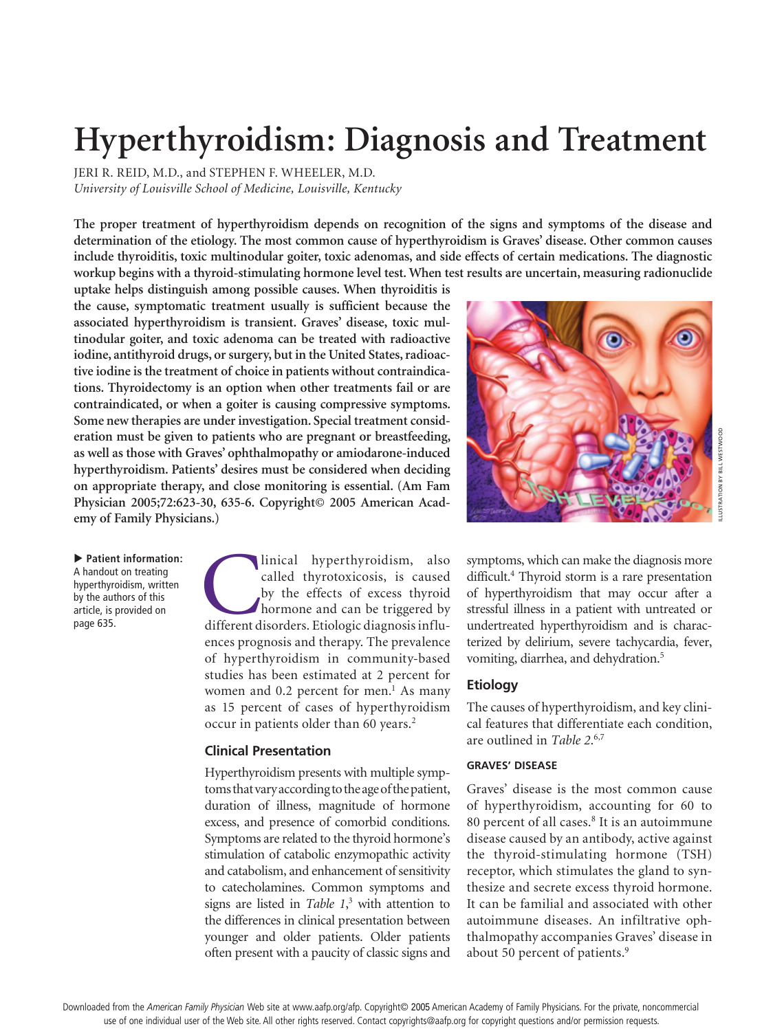# **Hyperthyroidism: Diagnosis and Treatment**

JERI R. REID, M.D., and STEPHEN F. WHEELER, M.D. *University of Louisville School of Medicine, Louisville, Kentucky*

**The proper treatment of hyperthyroidism depends on recognition of the signs and symptoms of the disease and determination of the etiology. The most common cause of hyperthyroidism is Graves' disease. Other common causes include thyroiditis, toxic multinodular goiter, toxic adenomas, and side effects of certain medications. The diagnostic workup begins with a thyroid-stimulating hormone level test. When test results are uncertain, measuring radionuclide** 

**uptake helps distinguish among possible causes. When thyroiditis is the cause, symptomatic treatment usually is sufficient because the associated hyperthyroidism is transient. Graves' disease, toxic multinodular goiter, and toxic adenoma can be treated with radioactive iodine, antithyroid drugs, or surgery, but in the United States, radioactive iodine is the treatment of choice in patients without contraindications. Thyroidectomy is an option when other treatments fail or are contraindicated, or when a goiter is causing compressive symptoms. Some new therapies are under investigation. Special treatment consideration must be given to patients who are pregnant or breastfeeding, as well as those with Graves' ophthalmopathy or amiodarone-induced hyperthyroidism. Patients' desires must be considered when deciding on appropriate therapy, and close monitoring is essential. (Am Fam Physician 2005;72:623-30, 635-6. Copyright© 2005 American Academy of Family Physicians.)**

 **Patient information:** A handout on treating hyperthyroidism, written by the authors of this article, is provided on page 635.

Inical hyperthyroidism, also called thyrotoxicosis, is caused by the effects of excess thyroid hormone and can be triggered by different disorders. Etiologic diagnosis influcalled thyrotoxicosis, is caused by the effects of excess thyroid hormone and can be triggered by ences prognosis and therapy. The prevalence of hyperthyroidism in community-based studies has been estimated at 2 percent for women and 0.2 percent for men.<sup>1</sup> As many as 15 percent of cases of hyperthyroidism occur in patients older than 60 years.<sup>2</sup>

## **Clinical Presentation**

Hyperthyroidism presents with multiple symptoms that vary according to the age of the patient, duration of illness, magnitude of hormone excess, and presence of comorbid conditions. Symptoms are related to the thyroid hormone's stimulation of catabolic enzymopathic activity and catabolism, and enhancement of sensitivity to catecholamines. Common symptoms and signs are listed in *Table 1*, 3 with attention to the differences in clinical presentation between younger and older patients. Older patients often present with a paucity of classic signs and



symptoms, which can make the diagnosis more difficult.4 Thyroid storm is a rare presentation of hyperthyroidism that may occur after a stressful illness in a patient with untreated or undertreated hyperthyroidism and is characterized by delirium, severe tachycardia, fever, vomiting, diarrhea, and dehydration.<sup>5</sup>

## **Etiology**

The causes of hyperthyroidism, and key clinical features that differentiate each condition, are outlined in *Table 2*. 6,7

## **graves' disease**

Graves' disease is the most common cause of hyperthyroidism, accounting for 60 to 80 percent of all cases.<sup>8</sup> It is an autoimmune disease caused by an antibody, active against the thyroid-stimulating hormone (TSH) receptor, which stimulates the gland to synthesize and secrete excess thyroid hormone. It can be familial and associated with other autoimmune diseases. An infiltrative ophthalmopathy accompanies Graves' disease in about 50 percent of patients.<sup>9</sup>

ILLUSTRATION BY BILL WESTWOOD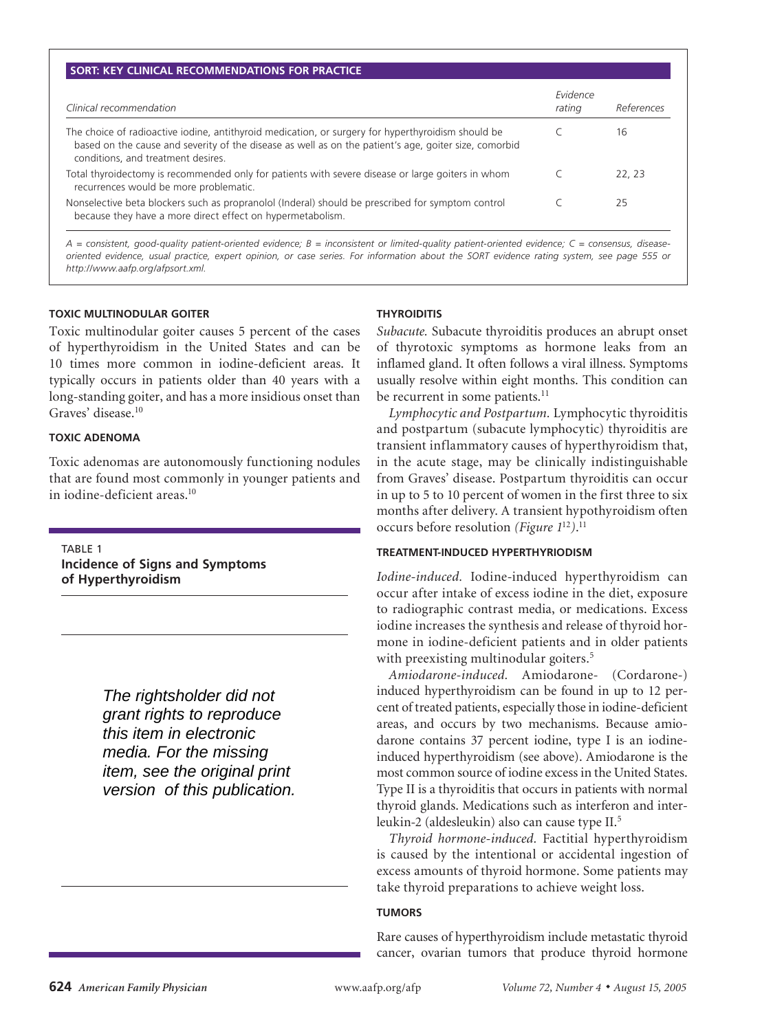## **SORT: Key Clinical Recommendations for Practice**

| Clinical recommendation                                                                                                                                                                                                                           | Evidence<br>rating | References |
|---------------------------------------------------------------------------------------------------------------------------------------------------------------------------------------------------------------------------------------------------|--------------------|------------|
| The choice of radioactive iodine, antithyroid medication, or surgery for hyperthyroidism should be<br>based on the cause and severity of the disease as well as on the patient's age, goiter size, comorbid<br>conditions, and treatment desires. |                    | 16         |
| Total thyroidectomy is recommended only for patients with severe disease or large goiters in whom<br>recurrences would be more problematic.                                                                                                       |                    | 22.23      |
| Nonselective beta blockers such as propranolol (Inderal) should be prescribed for symptom control<br>because they have a more direct effect on hypermetabolism.                                                                                   |                    | 25         |

*oriented evidence, usual practice, expert opinion, or case series. For information about the SORT evidence rating system, see page 555 or http://www.aafp.org/afpsort.xml.*

#### **toxic multinodular goiter**

Toxic multinodular goiter causes 5 percent of the cases of hyperthyroidism in the United States and can be 10 times more common in iodine-deficient areas. It typically occurs in patients older than 40 years with a long-standing goiter, and has a more insidious onset than Graves' disease <sup>10</sup>

#### **toxic adenoma**

Toxic adenomas are autonomously functioning nodules that are found most commonly in younger patients and in iodine-deficient areas.10

 $T\Delta R$ IF<sub>1</sub> **Incidence of Signs and Symptoms of Hyperthyroidism**

> The rightsholder did not grant rights to reproduce this item in electronic media. For the missing item, see the original print version of this publication.

#### **thyroiditis**

*Subacute.* Subacute thyroiditis produces an abrupt onset of thyrotoxic symptoms as hormone leaks from an inflamed gland. It often follows a viral illness. Symptoms usually resolve within eight months. This condition can be recurrent in some patients.<sup>11</sup>

*Lymphocytic and Postpartum.* Lymphocytic thyroiditis and postpartum (subacute lymphocytic) thyroiditis are transient inflammatory causes of hyperthyroidism that, in the acute stage, may be clinically indistinguishable from Graves' disease. Postpartum thyroiditis can occur in up to 5 to 10 percent of women in the first three to six months after delivery. A transient hypothyroidism often occurs before resolution *(Figure 1*<sup>12</sup>*)*. 11

#### **treatment-induced hyperthyriodism**

*Iodine-induced.* Iodine-induced hyperthyroidism can occur after intake of excess iodine in the diet, exposure to radiographic contrast media, or medications. Excess iodine increases the synthesis and release of thyroid hormone in iodine-deficient patients and in older patients with preexisting multinodular goiters.<sup>5</sup>

*Amiodarone-induced.* Amiodarone- (Cordarone-) induced hyperthyroidism can be found in up to 12 percent of treated patients, especially those in iodine-deficient areas, and occurs by two mechanisms. Because amiodarone contains 37 percent iodine, type I is an iodineinduced hyperthyroidism (see above). Amiodarone is the most common source of iodine excess in the United States. Type II is a thyroiditis that occurs in patients with normal thyroid glands. Medications such as interferon and interleukin-2 (aldesleukin) also can cause type II.5

*Thyroid hormone-induced.* Factitial hyperthyroidism is caused by the intentional or accidental ingestion of excess amounts of thyroid hormone. Some patients may take thyroid preparations to achieve weight loss.

#### **tumors**

Rare causes of hyperthyroidism include metastatic thyroid cancer, ovarian tumors that produce thyroid hormone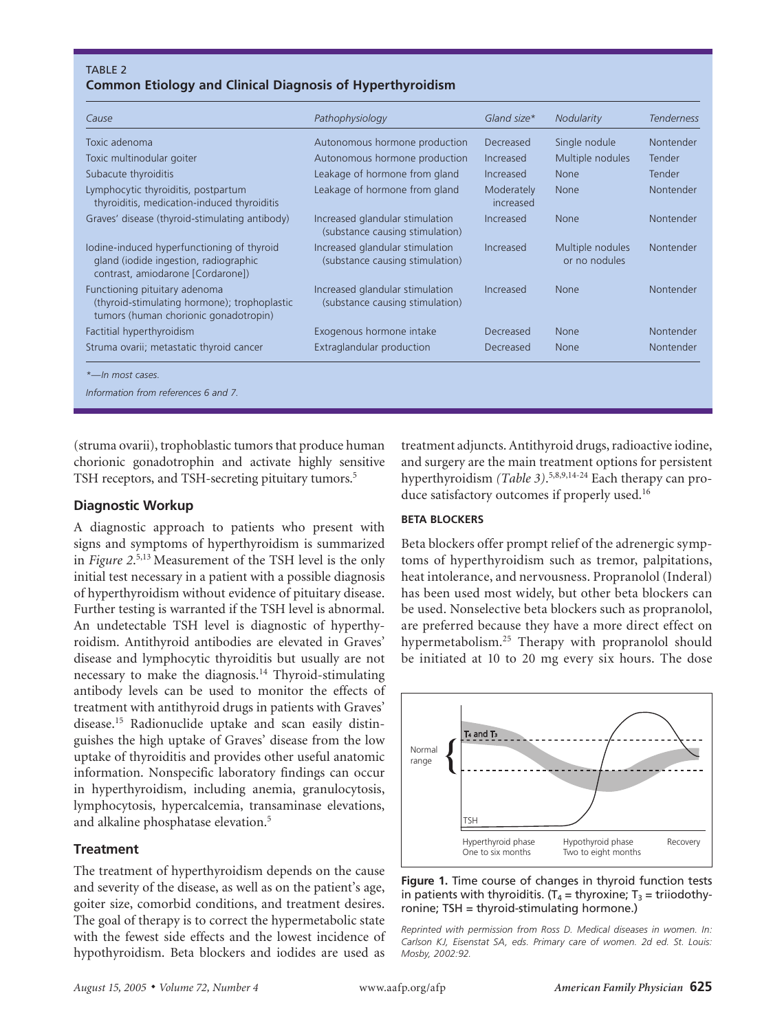## TABLE<sub>2</sub>

#### **Common Etiology and Clinical Diagnosis of Hyperthyroidism**

| Cause                                                                                                                    | Pathophysiology                                                    | Gland size*             | Nodularity                        | <b>Tenderness</b> |
|--------------------------------------------------------------------------------------------------------------------------|--------------------------------------------------------------------|-------------------------|-----------------------------------|-------------------|
| Toxic adenoma                                                                                                            | Autonomous hormone production                                      | Decreased               | Single nodule                     | Nontender         |
| Toxic multinodular goiter                                                                                                | Autonomous hormone production                                      | Increased               | Multiple nodules                  | Tender            |
| Subacute thyroiditis                                                                                                     | Leakage of hormone from gland                                      | Increased               | None                              | Tender            |
| Lymphocytic thyroiditis, postpartum<br>thyroiditis, medication-induced thyroiditis                                       | Leakage of hormone from gland                                      | Moderately<br>increased | None                              | Nontender         |
| Graves' disease (thyroid-stimulating antibody)                                                                           | Increased glandular stimulation<br>(substance causing stimulation) | Increased               | None                              | Nontender         |
| Iodine-induced hyperfunctioning of thyroid<br>gland (iodide ingestion, radiographic<br>contrast, amiodarone [Cordarone]) | Increased glandular stimulation<br>(substance causing stimulation) | Increased               | Multiple nodules<br>or no nodules | Nontender         |
| Functioning pituitary adenoma<br>(thyroid-stimulating hormone); trophoplastic<br>tumors (human chorionic gonadotropin)   | Increased glandular stimulation<br>(substance causing stimulation) | Increased               | None                              | Nontender         |
| Factitial hyperthyroidism                                                                                                | Exogenous hormone intake                                           | Decreased               | None                              | Nontender         |
| Struma ovarii; metastatic thyroid cancer                                                                                 | Extraglandular production                                          | Decreased               | None                              | Nontender         |

*Information from references 6 and 7.*

(struma ovarii), trophoblastic tumors that produce human chorionic gonadotrophin and activate highly sensitive TSH receptors, and TSH-secreting pituitary tumors.<sup>5</sup>

#### **Diagnostic Workup**

A diagnostic approach to patients who present with signs and symptoms of hyperthyroidism is summarized in *Figure 2*. 5,13 Measurement of the TSH level is the only initial test necessary in a patient with a possible diagnosis of hyperthyroidism without evidence of pituitary disease. Further testing is warranted if the TSH level is abnormal. An undetectable TSH level is diagnostic of hyperthyroidism. Antithyroid antibodies are elevated in Graves' disease and lymphocytic thyroiditis but usually are not necessary to make the diagnosis.<sup>14</sup> Thyroid-stimulating antibody levels can be used to monitor the effects of treatment with antithyroid drugs in patients with Graves' disease.15 Radionuclide uptake and scan easily distinguishes the high uptake of Graves' disease from the low uptake of thyroiditis and provides other useful anatomic information. Nonspecific laboratory findings can occur in hyperthyroidism, including anemia, granulocytosis, lymphocytosis, hypercalcemia, transaminase elevations, and alkaline phosphatase elevation.<sup>5</sup>

## **Treatment**

The treatment of hyperthyroidism depends on the cause and severity of the disease, as well as on the patient's age, goiter size, comorbid conditions, and treatment desires. The goal of therapy is to correct the hypermetabolic state with the fewest side effects and the lowest incidence of hypothyroidism. Beta blockers and iodides are used as

treatment adjuncts. Antithyroid drugs, radioactive iodine, and surgery are the main treatment options for persistent hyperthyroidism *(Table 3)*. 5,8,9,14-24 Each therapy can produce satisfactory outcomes if properly used.<sup>16</sup>

**Hyperthyroidism**

## **beta blockers**

Beta blockers offer prompt relief of the adrenergic symptoms of hyperthyroidism such as tremor, palpitations, heat intolerance, and nervousness. Propranolol (Inderal) has been used most widely, but other beta blockers can be used. Nonselective beta blockers such as propranolol, are preferred because they have a more direct effect on hypermetabolism.25 Therapy with propranolol should be initiated at 10 to 20 mg every six hours. The dose



**Figure 1.** Time course of changes in thyroid function tests in patients with thyroiditis. ( $T_4$  = thyroxine;  $T_3$  = triiodothyronine; TSH = thyroid-stimulating hormone.)

*Reprinted with permission from Ross D. Medical diseases in women. In: Carlson KJ, Eisenstat SA, eds. Primary care of women. 2d ed. St. Louis: Mosby, 2002:92.*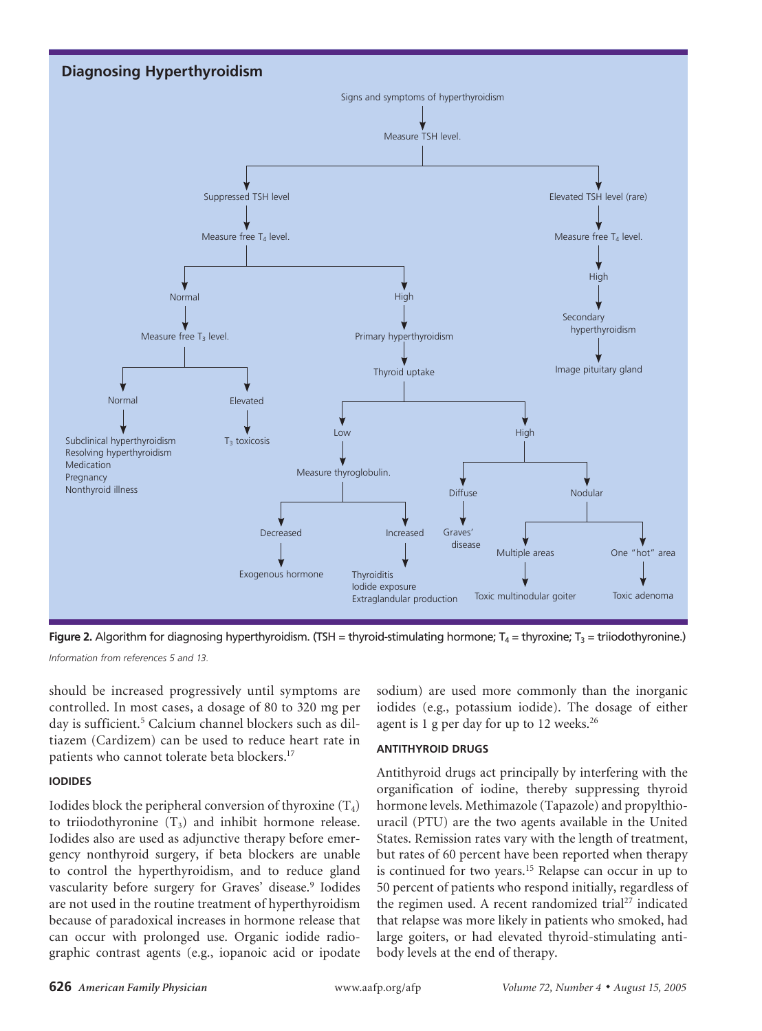



*Information from references 5 and 13.*

should be increased progressively until symptoms are controlled. In most cases, a dosage of 80 to 320 mg per day is sufficient.<sup>5</sup> Calcium channel blockers such as diltiazem (Cardizem) can be used to reduce heart rate in patients who cannot tolerate beta blockers.17

## **iodides**

Iodides block the peripheral conversion of thyroxine  $(T_4)$ to triiodothyronine  $(T_3)$  and inhibit hormone release. Iodides also are used as adjunctive therapy before emergency nonthyroid surgery, if beta blockers are unable to control the hyperthyroidism, and to reduce gland vascularity before surgery for Graves' disease.<sup>9</sup> Iodides are not used in the routine treatment of hyperthyroidism because of paradoxical increases in hormone release that can occur with prolonged use. Organic iodide radiographic contrast agents (e.g., iopanoic acid or ipodate

sodium) are used more commonly than the inorganic iodides (e.g., potassium iodide). The dosage of either agent is 1 g per day for up to 12 weeks. $26$ 

## **antithyroid drugs**

Antithyroid drugs act principally by interfering with the organification of iodine, thereby suppressing thyroid hormone levels. Methimazole (Tapazole) and propylthiouracil (PTU) are the two agents available in the United States. Remission rates vary with the length of treatment, but rates of 60 percent have been reported when therapy is continued for two years.<sup>15</sup> Relapse can occur in up to 50 percent of patients who respond initially, regardless of the regimen used. A recent randomized trial<sup>27</sup> indicated that relapse was more likely in patients who smoked, had large goiters, or had elevated thyroid-stimulating antibody levels at the end of therapy.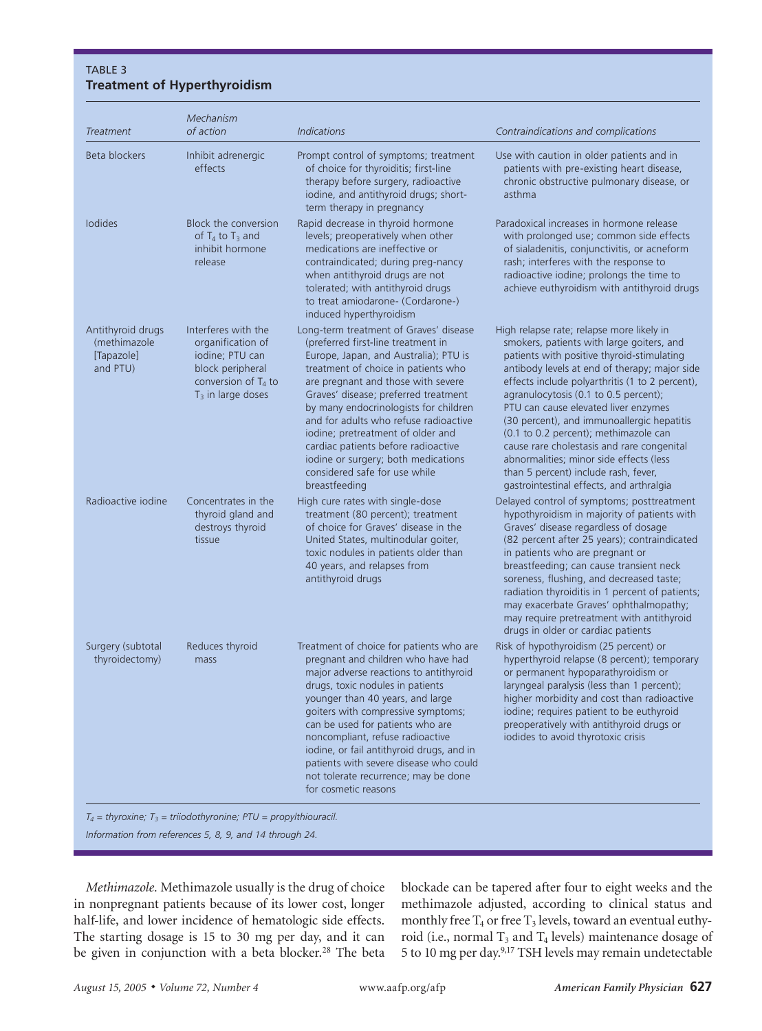## TABLE<sub>3</sub> **Treatment of Hyperthyroidism**

| <b>Treatment</b>                                            | Mechanism<br>of action                                                                                                           | <b>Indications</b>                                                                                                                                                                                                                                                                                                                                                                                                                                                                                | Contraindications and complications                                                                                                                                                                                                                                                                                                                                                                                                                                                                                                                                                           |
|-------------------------------------------------------------|----------------------------------------------------------------------------------------------------------------------------------|---------------------------------------------------------------------------------------------------------------------------------------------------------------------------------------------------------------------------------------------------------------------------------------------------------------------------------------------------------------------------------------------------------------------------------------------------------------------------------------------------|-----------------------------------------------------------------------------------------------------------------------------------------------------------------------------------------------------------------------------------------------------------------------------------------------------------------------------------------------------------------------------------------------------------------------------------------------------------------------------------------------------------------------------------------------------------------------------------------------|
| Beta blockers                                               | Inhibit adrenergic<br>effects                                                                                                    | Prompt control of symptoms; treatment<br>of choice for thyroiditis; first-line<br>therapy before surgery, radioactive<br>iodine, and antithyroid drugs; short-<br>term therapy in pregnancy                                                                                                                                                                                                                                                                                                       | Use with caution in older patients and in<br>patients with pre-existing heart disease,<br>chronic obstructive pulmonary disease, or<br>asthma                                                                                                                                                                                                                                                                                                                                                                                                                                                 |
| <b>lodides</b>                                              | Block the conversion<br>of $T_4$ to $T_3$ and<br>inhibit hormone<br>release                                                      | Rapid decrease in thyroid hormone<br>levels; preoperatively when other<br>medications are ineffective or<br>contraindicated; during preg-nancy<br>when antithyroid drugs are not<br>tolerated; with antithyroid drugs<br>to treat amiodarone- (Cordarone-)<br>induced hyperthyroidism                                                                                                                                                                                                             | Paradoxical increases in hormone release<br>with prolonged use; common side effects<br>of sialadenitis, conjunctivitis, or acneform<br>rash; interferes with the response to<br>radioactive iodine; prolongs the time to<br>achieve euthyroidism with antithyroid drugs                                                                                                                                                                                                                                                                                                                       |
| Antithyroid drugs<br>(methimazole<br>[Tapazole]<br>and PTU) | Interferes with the<br>organification of<br>iodine; PTU can<br>block peripheral<br>conversion of $T_4$ to<br>$T3$ in large doses | Long-term treatment of Graves' disease<br>(preferred first-line treatment in<br>Europe, Japan, and Australia); PTU is<br>treatment of choice in patients who<br>are pregnant and those with severe<br>Graves' disease; preferred treatment<br>by many endocrinologists for children<br>and for adults who refuse radioactive<br>iodine; pretreatment of older and<br>cardiac patients before radioactive<br>iodine or surgery; both medications<br>considered safe for use while<br>breastfeeding | High relapse rate; relapse more likely in<br>smokers, patients with large goiters, and<br>patients with positive thyroid-stimulating<br>antibody levels at end of therapy; major side<br>effects include polyarthritis (1 to 2 percent),<br>agranulocytosis (0.1 to 0.5 percent);<br>PTU can cause elevated liver enzymes<br>(30 percent), and immunoallergic hepatitis<br>(0.1 to 0.2 percent); methimazole can<br>cause rare cholestasis and rare congenital<br>abnormalities; minor side effects (less<br>than 5 percent) include rash, fever,<br>gastrointestinal effects, and arthralgia |
| Radioactive iodine                                          | Concentrates in the<br>thyroid gland and<br>destroys thyroid<br>tissue                                                           | High cure rates with single-dose<br>treatment (80 percent); treatment<br>of choice for Graves' disease in the<br>United States, multinodular goiter,<br>toxic nodules in patients older than<br>40 years, and relapses from<br>antithyroid drugs                                                                                                                                                                                                                                                  | Delayed control of symptoms; posttreatment<br>hypothyroidism in majority of patients with<br>Graves' disease regardless of dosage<br>(82 percent after 25 years); contraindicated<br>in patients who are pregnant or<br>breastfeeding; can cause transient neck<br>soreness, flushing, and decreased taste;<br>radiation thyroiditis in 1 percent of patients;<br>may exacerbate Graves' ophthalmopathy;<br>may require pretreatment with antithyroid<br>drugs in older or cardiac patients                                                                                                   |
| Surgery (subtotal<br>thyroidectomy)                         | Reduces thyroid<br>mass                                                                                                          | Treatment of choice for patients who are<br>pregnant and children who have had<br>major adverse reactions to antithyroid<br>drugs, toxic nodules in patients<br>younger than 40 years, and large<br>goiters with compressive symptoms;<br>can be used for patients who are<br>noncompliant, refuse radioactive<br>iodine, or fail antithyroid drugs, and in<br>patients with severe disease who could<br>not tolerate recurrence; may be done<br>for cosmetic reasons                             | Risk of hypothyroidism (25 percent) or<br>hyperthyroid relapse (8 percent); temporary<br>or permanent hypoparathyroidism or<br>laryngeal paralysis (less than 1 percent);<br>higher morbidity and cost than radioactive<br>iodine; requires patient to be euthyroid<br>preoperatively with antithyroid drugs or<br>iodides to avoid thyrotoxic crisis                                                                                                                                                                                                                                         |

*Information from references 5, 8, 9, and 14 through 24.*

*Methimazole.* Methimazole usually is the drug of choice in nonpregnant patients because of its lower cost, longer half-life, and lower incidence of hematologic side effects. The starting dosage is 15 to 30 mg per day, and it can be given in conjunction with a beta blocker.<sup>28</sup> The beta

blockade can be tapered after four to eight weeks and the methimazole adjusted, according to clinical status and monthly free  $T_4$  or free  $T_3$  levels, toward an eventual euthyroid (i.e., normal  $T_3$  and  $T_4$  levels) maintenance dosage of 5 to 10 mg per day.9,17 TSH levels may remain undetectable

**Hyperthyroidism**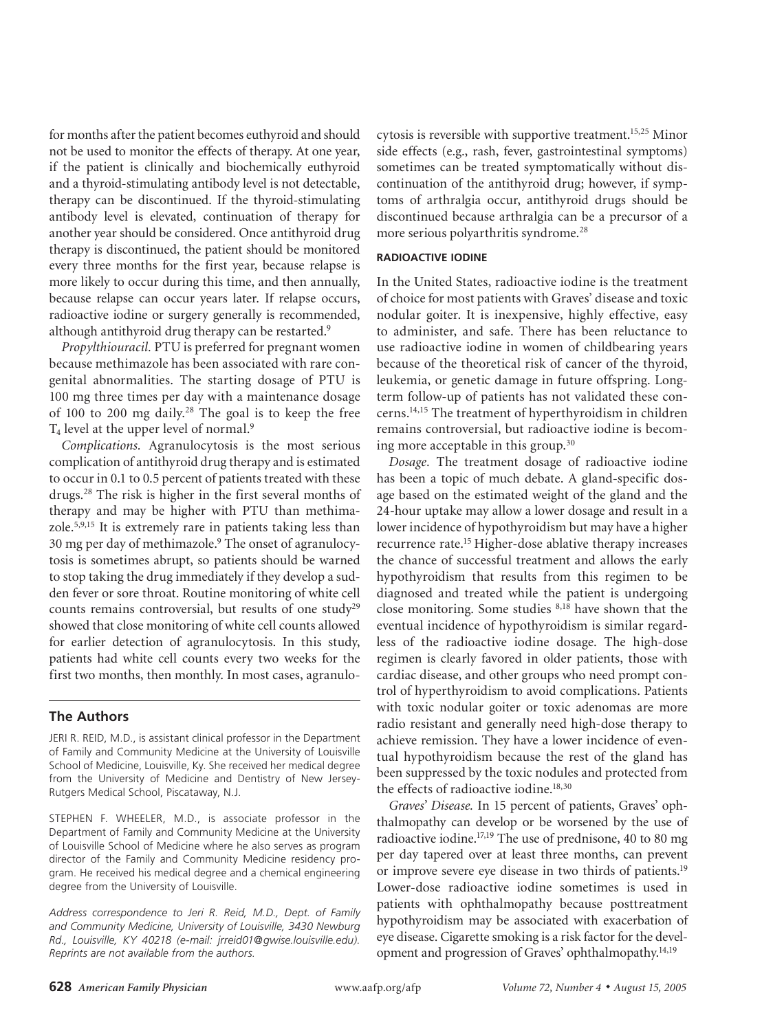for months after the patient becomes euthyroid and should not be used to monitor the effects of therapy. At one year, if the patient is clinically and biochemically euthyroid and a thyroid-stimulating antibody level is not detectable, therapy can be discontinued. If the thyroid-stimulating antibody level is elevated, continuation of therapy for another year should be considered. Once antithyroid drug therapy is discontinued, the patient should be monitored every three months for the first year, because relapse is more likely to occur during this time, and then annually, because relapse can occur years later. If relapse occurs, radioactive iodine or surgery generally is recommended, although antithyroid drug therapy can be restarted.9

*Propylthiouracil.* PTU is preferred for pregnant women because methimazole has been associated with rare congenital abnormalities. The starting dosage of PTU is 100 mg three times per day with a maintenance dosage of 100 to 200 mg daily.28 The goal is to keep the free  $T_4$  level at the upper level of normal.<sup>9</sup>

*Complications.* Agranulocytosis is the most serious complication of antithyroid drug therapy and is estimated to occur in 0.1 to 0.5 percent of patients treated with these drugs.28 The risk is higher in the first several months of therapy and may be higher with PTU than methimazole.5,9,15 It is extremely rare in patients taking less than 30 mg per day of methimazole.<sup>9</sup> The onset of agranulocytosis is sometimes abrupt, so patients should be warned to stop taking the drug immediately if they develop a sudden fever or sore throat. Routine monitoring of white cell counts remains controversial, but results of one study<sup>29</sup> showed that close monitoring of white cell counts allowed for earlier detection of agranulocytosis. In this study, patients had white cell counts every two weeks for the first two months, then monthly. In most cases, agranulo-

## **The Authors**

JERI R. REID, M.D., is assistant clinical professor in the Department of Family and Community Medicine at the University of Louisville School of Medicine, Louisville, Ky. She received her medical degree from the University of Medicine and Dentistry of New Jersey-Rutgers Medical School, Piscataway, N.J.

STEPHEN F. WHEELER, M.D., is associate professor in the Department of Family and Community Medicine at the University of Louisville School of Medicine where he also serves as program director of the Family and Community Medicine residency program. He received his medical degree and a chemical engineering degree from the University of Louisville.

*Address correspondence to Jeri R. Reid, M.D., Dept. of Family and Community Medicine, University of Louisville, 3430 Newburg Rd., Louisville, KY 40218 (e-mail: jrreid01@gwise.louisville.edu). Reprints are not available from the authors.*

cytosis is reversible with supportive treatment.15,25 Minor side effects (e.g., rash, fever, gastrointestinal symptoms) sometimes can be treated symptomatically without discontinuation of the antithyroid drug; however, if symptoms of arthralgia occur, antithyroid drugs should be discontinued because arthralgia can be a precursor of a more serious polyarthritis syndrome.28

## **radioactive iodine**

In the United States, radioactive iodine is the treatment of choice for most patients with Graves' disease and toxic nodular goiter. It is inexpensive, highly effective, easy to administer, and safe. There has been reluctance to use radioactive iodine in women of childbearing years because of the theoretical risk of cancer of the thyroid, leukemia, or genetic damage in future offspring. Longterm follow-up of patients has not validated these concerns.14,15 The treatment of hyperthyroidism in children remains controversial, but radioactive iodine is becoming more acceptable in this group.30

*Dosage.* The treatment dosage of radioactive iodine has been a topic of much debate. A gland-specific dosage based on the estimated weight of the gland and the 24-hour uptake may allow a lower dosage and result in a lower incidence of hypothyroidism but may have a higher recurrence rate.15 Higher-dose ablative therapy increases the chance of successful treatment and allows the early hypothyroidism that results from this regimen to be diagnosed and treated while the patient is undergoing close monitoring. Some studies 8,18 have shown that the eventual incidence of hypothyroidism is similar regardless of the radioactive iodine dosage. The high-dose regimen is clearly favored in older patients, those with cardiac disease, and other groups who need prompt control of hyperthyroidism to avoid complications. Patients with toxic nodular goiter or toxic adenomas are more radio resistant and generally need high-dose therapy to achieve remission. They have a lower incidence of eventual hypothyroidism because the rest of the gland has been suppressed by the toxic nodules and protected from the effects of radioactive iodine.<sup>18,30</sup>

*Graves' Disease.* In 15 percent of patients, Graves' ophthalmopathy can develop or be worsened by the use of radioactive iodine.17,19 The use of prednisone, 40 to 80 mg per day tapered over at least three months, can prevent or improve severe eye disease in two thirds of patients.19 Lower-dose radioactive iodine sometimes is used in patients with ophthalmopathy because posttreatment hypothyroidism may be associated with exacerbation of eye disease. Cigarette smoking is a risk factor for the development and progression of Graves' ophthalmopathy.14,19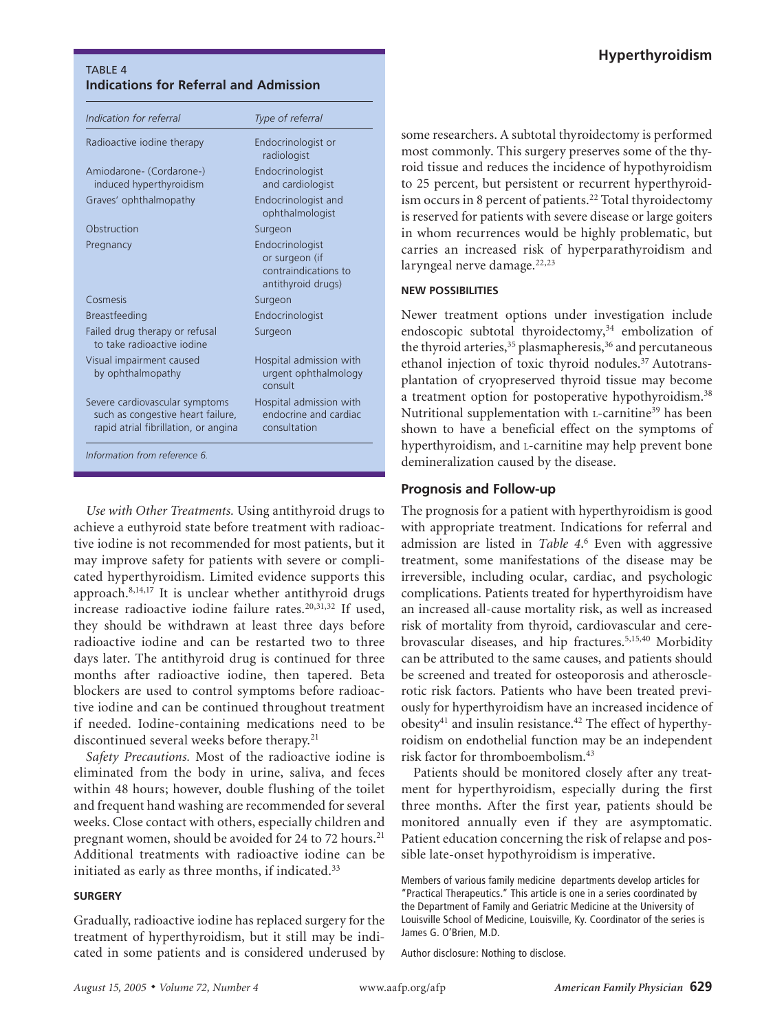## TABLE<sub>4</sub> **Indications for Referral and Admission**

| Indication for referral                                                                                     | Type of referral                                                                |
|-------------------------------------------------------------------------------------------------------------|---------------------------------------------------------------------------------|
| Radioactive iodine therapy                                                                                  | Endocrinologist or<br>radiologist                                               |
| Amiodarone- (Cordarone-)<br>induced hyperthyroidism                                                         | Endocrinologist<br>and cardiologist                                             |
| Graves' ophthalmopathy                                                                                      | Endocrinologist and<br>ophthalmologist                                          |
| Obstruction                                                                                                 | Surgeon                                                                         |
| Pregnancy                                                                                                   | Endocrinologist<br>or surgeon (if<br>contraindications to<br>antithyroid drugs) |
| Cosmesis                                                                                                    | Surgeon                                                                         |
| Breastfeeding                                                                                               | Endocrinologist                                                                 |
| Failed drug therapy or refusal<br>to take radioactive jodine                                                | Surgeon                                                                         |
| Visual impairment caused<br>by ophthalmopathy                                                               | Hospital admission with<br>urgent ophthalmology<br>consult                      |
| Severe cardiovascular symptoms<br>such as congestive heart failure,<br>rapid atrial fibrillation, or angina | Hospital admission with<br>endocrine and cardiac<br>consultation                |

*Use with Other Treatments.* Using antithyroid drugs to achieve a euthyroid state before treatment with radioactive iodine is not recommended for most patients, but it may improve safety for patients with severe or complicated hyperthyroidism. Limited evidence supports this approach.8,14,17 It is unclear whether antithyroid drugs increase radioactive iodine failure rates.20,31,32 If used, they should be withdrawn at least three days before radioactive iodine and can be restarted two to three days later. The antithyroid drug is continued for three months after radioactive iodine, then tapered. Beta blockers are used to control symptoms before radioactive iodine and can be continued throughout treatment if needed. Iodine-containing medications need to be discontinued several weeks before therapy.<sup>21</sup>

*Safety Precautions.* Most of the radioactive iodine is eliminated from the body in urine, saliva, and feces within 48 hours; however, double flushing of the toilet and frequent hand washing are recommended for several weeks. Close contact with others, especially children and pregnant women, should be avoided for 24 to 72 hours.<sup>21</sup> Additional treatments with radioactive iodine can be initiated as early as three months, if indicated.<sup>33</sup>

#### **surgery**

Gradually, radioactive iodine has replaced surgery for the treatment of hyperthyroidism, but it still may be indicated in some patients and is considered underused by some researchers. A subtotal thyroidectomy is performed most commonly. This surgery preserves some of the thyroid tissue and reduces the incidence of hypothyroidism to 25 percent, but persistent or recurrent hyperthyroidism occurs in 8 percent of patients.<sup>22</sup> Total thyroidectomy is reserved for patients with severe disease or large goiters in whom recurrences would be highly problematic, but carries an increased risk of hyperparathyroidism and laryngeal nerve damage. $22,23$ 

#### **new possibilities**

Newer treatment options under investigation include endoscopic subtotal thyroidectomy,<sup>34</sup> embolization of the thyroid arteries,  $35$  plasmapheresis,  $36$  and percutaneous ethanol injection of toxic thyroid nodules.<sup>37</sup> Autotransplantation of cryopreserved thyroid tissue may become a treatment option for postoperative hypothyroidism.<sup>38</sup> Nutritional supplementation with L-carnitine<sup>39</sup> has been shown to have a beneficial effect on the symptoms of hyperthyroidism, and L-carnitine may help prevent bone demineralization caused by the disease.

## **Prognosis and Follow-up**

The prognosis for a patient with hyperthyroidism is good with appropriate treatment. Indications for referral and admission are listed in *Table 4*. 6 Even with aggressive treatment, some manifestations of the disease may be irreversible, including ocular, cardiac, and psychologic complications. Patients treated for hyperthyroidism have an increased all-cause mortality risk, as well as increased risk of mortality from thyroid, cardiovascular and cerebrovascular diseases, and hip fractures.5,15,40 Morbidity can be attributed to the same causes, and patients should be screened and treated for osteoporosis and atherosclerotic risk factors. Patients who have been treated previously for hyperthyroidism have an increased incidence of obesity $41$  and insulin resistance. $42$  The effect of hyperthyroidism on endothelial function may be an independent risk factor for thromboembolism.43

Patients should be monitored closely after any treatment for hyperthyroidism, especially during the first three months. After the first year, patients should be monitored annually even if they are asymptomatic. Patient education concerning the risk of relapse and possible late-onset hypothyroidism is imperative.

Members of various family medicine departments develop articles for "Practical Therapeutics." This article is one in a series coordinated by the Department of Family and Geriatric Medicine at the University of Louisville School of Medicine, Louisville, Ky. Coordinator of the series is James G. O'Brien, M.D.

Author disclosure: Nothing to disclose.